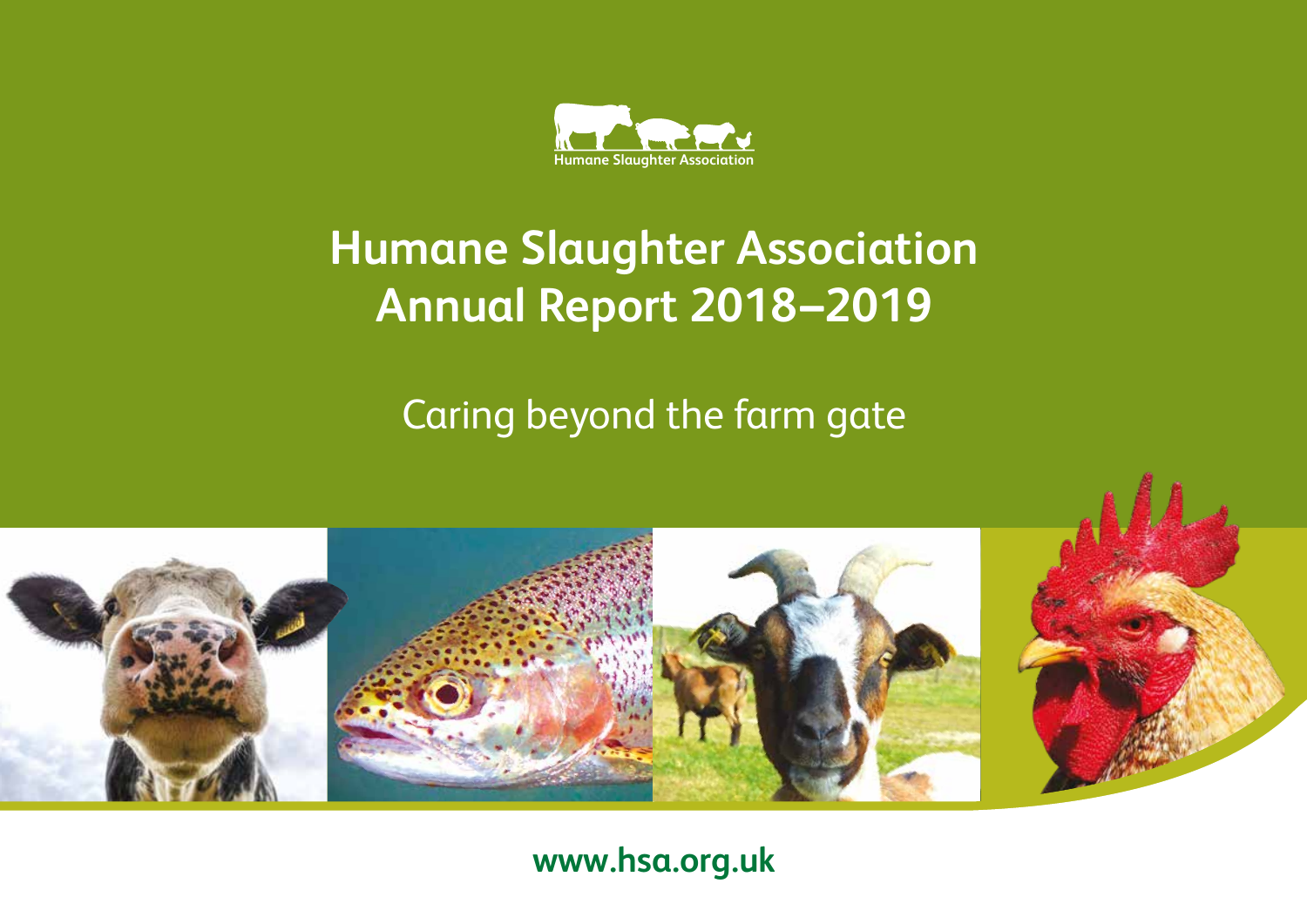

# **Humane Slaughter Association Annual Report 2018–2019**

Caring beyond the farm gate



# **www.hsa.org.uk**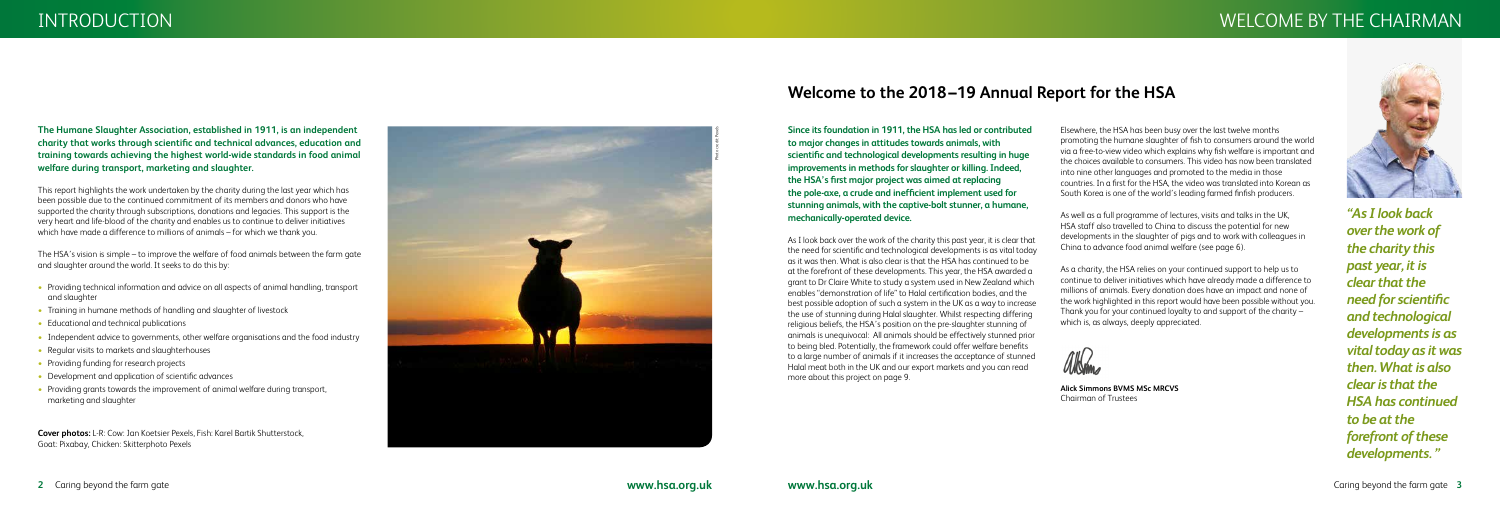# INTRODUCTION WELCOME BY THE CHAIRMAN

### **The Humane Slaughter Association, established in 1911, is an independent charity that works through scientific and technical advances, education and training towards achieving the highest world-wide standards in food animal welfare during transport, marketing and slaughter.**

This report highlights the work undertaken by the charity during the last year which has been possible due to the continued commitment of its members and donors who have supported the charity through subscriptions, donations and legacies. This support is the very heart and life-blood of the charity and enables us to continue to deliver initiatives which have made a difference to millions of animals – for which we thank you.

The HSA's vision is simple – to improve the welfare of food animals between the farm gate and slaughter around the world. It seeks to do this by:

- Providing technical information and advice on all aspects of animal handling, transport and slaughter
- Training in humane methods of handling and slaughter of livestock
- Educational and technical publications
- Independent advice to governments, other welfare organisations and the food industry
- Regular visits to markets and slaughterhouses
- Providing funding for research projects
- Development and application of scientific advances
- Providing grants towards the improvement of animal welfare during transport, marketing and slaughter



# **Welcome to the 2018–19 Annual Report for the HSA**

**Cover photos:** L-R: Cow: Jan Koetsier Pexels, Fish: Karel Bartik Shutterstock, Goat: Pixabay, Chicken: Skitterphoto Pexels

*"As I look back over the work of the charity this past year, it is clear that the need for scientific and technological developments is as vital today as it was then. What is also clear is that the HSA has continued to be at the forefront of these developments. "*

Elsewhere, the HSA has been busy over the last twelve months promoting the humane slaughter of fish to consumers around the world via a free-to-view video which explains why fish welfare is important and the choices available to consumers. This video has now been translated into nine other languages and promoted to the media in those countries. In a first for the HSA, the video was translated into Korean as South Korea is one of the world's leading farmed finfish producers.

As well as a full programme of lectures, visits and talks in the UK, HSA staff also travelled to China to discuss the potential for new developments in the slaughter of pigs and to work with colleagues in China to advance food animal welfare (see page 6).

As a charity, the HSA relies on your continued support to help us to continue to deliver initiatives which have already made a difference to millions of animals. Every donation does have an impact and none of the work highlighted in this report would have been possible without you. Thank you for your continued loyalty to and support of the charity – which is, as always, deeply appreciated.

AIK

**Alick Simmons BVMS MSc MRCVS** Chairman of Trustees



**Since its foundation in 1911, the HSA has led or contributed to major changes in attitudes towards animals, with scientific and technological developments resulting in huge improvements in methods for slaughter or killing. Indeed, the HSA's first major project was aimed at replacing the pole-axe, a crude and inefficient implement used for stunning animals, with the captive-bolt stunner, a humane, mechanically-operated device.** 

As I look back over the work of the charity this past year, it is clear that the need for scientific and technological developments is as vital today as it was then. What is also clear is that the HSA has continued to be at the forefront of these developments. This year, the HSA awarded a grant to Dr Claire White to study a system used in New Zealand which enables "demonstration of life" to Halal certification bodies, and the best possible adoption of such a system in the UK as a way to increase the use of stunning during Halal slaughter. Whilst respecting differing religious beliefs, the HSA's position on the pre-slaughter stunning of animals is unequivocal: All animals should be effectively stunned prior to being bled. Potentially, the framework could offer welfare benefits to a large number of animals if it increases the acceptance of stunned Halal meat both in the UK and our export markets and you can read more about this project on page 9.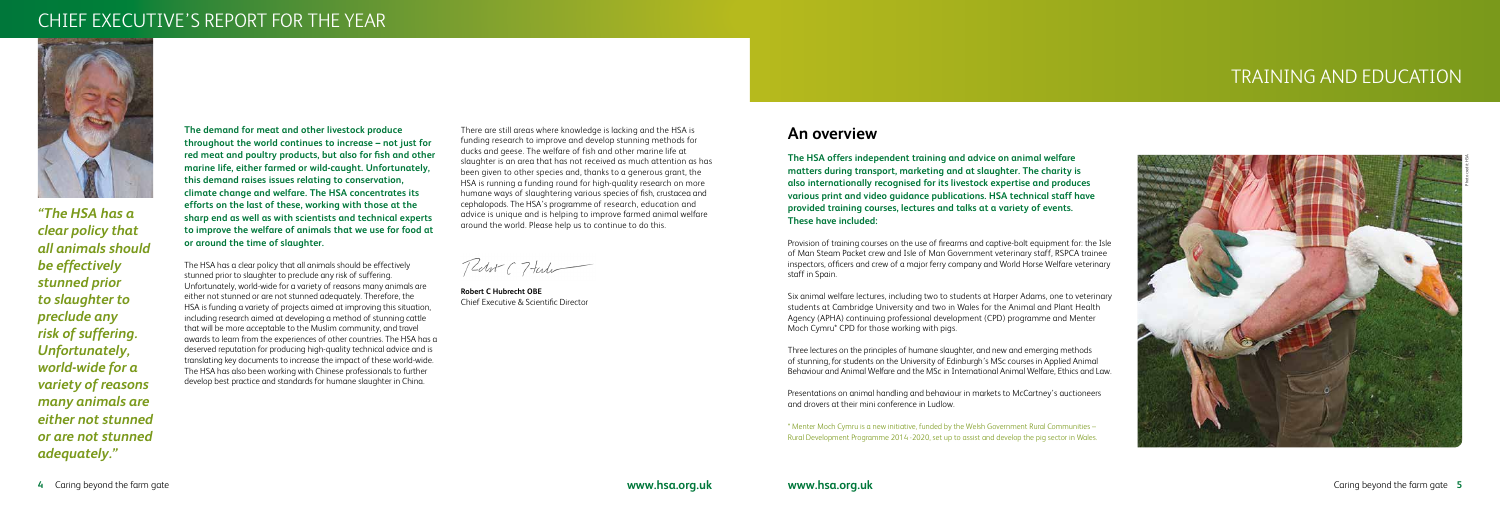# CHIEF EXECUTIVE'S REPORT FOR THE YEAR



# TRAINING AND EDUCATION

**The demand for meat and other livestock produce throughout the world continues to increase – not just for red meat and poultry products, but also for fish and other marine life, either farmed or wild-caught. Unfortunately, this demand raises issues relating to conservation, climate change and welfare. The HSA concentrates its efforts on the last of these, working with those at the sharp end as well as with scientists and technical experts to improve the welfare of animals that we use for food at or around the time of slaughter.** 

The HSA has a clear policy that all animals should be effectively stunned prior to slaughter to preclude any risk of suffering. Unfortunately, world-wide for a variety of reasons many animals are either not stunned or are not stunned adequately. Therefore, the HSA is funding a variety of projects aimed at improving this situation, including research aimed at developing a method of stunning cattle that will be more acceptable to the Muslim community, and travel awards to learn from the experiences of other countries. The HSA has a deserved reputation for producing high-quality technical advice and is translating key documents to increase the impact of these world-wide. The HSA has also been working with Chinese professionals to further develop best practice and standards for humane slaughter in China.

*"The HSA has a clear policy that all animals should be effectively stunned prior to slaughter to preclude any risk of suffering. Unfortunately, world-wide for a variety of reasons many animals are either not stunned or are not stunned adequately."*

There are still areas where knowledge is lacking and the HSA is funding research to improve and develop stunning methods for ducks and geese. The welfare of fish and other marine life at slaughter is an area that has not received as much attention as has been given to other species and, thanks to a generous grant, the HSA is running a funding round for high-quality research on more humane ways of slaughtering various species of fish, crustacea and cephalopods. The HSA's programme of research, education and advice is unique and is helping to improve farmed animal welfare around the world. Please help us to continue to do this.

Redut (7 tute

**Robert C Hubrecht OBE** Chief Executive & Scientific Director

# **An overview**

**The HSA offers independent training and advice on animal welfare matters during transport, marketing and at slaughter. The charity is also internationally recognised for its livestock expertise and produces various print and video guidance publications. HSA technical staff have provided training courses, lectures and talks at a variety of events. These have included:**

Provision of training courses on the use of firearms and captive-bolt equipment for: the Isle of Man Steam Packet crew and Isle of Man Government veterinary staff, RSPCA trainee inspectors, officers and crew of a major ferry company and World Horse Welfare veterinary staff in Spain.

Six animal welfare lectures, including two to students at Harper Adams, one to veterinary students at Cambridge University and two in Wales for the Animal and Plant Health Agency (APHA) continuing professional development (CPD) programme and Menter Moch Cymru\* CPD for those working with pigs.

Three lectures on the principles of humane slaughter, and new and emerging methods of stunning, for students on the University of Edinburgh's MSc courses in Applied Animal Behaviour and Animal Welfare and the MSc in International Animal Welfare, Ethics and Law.



Presentations on animal handling and behaviour in markets to McCartney's auctioneers and drovers at their mini conference in Ludlow.

\* Menter Moch Cymru is a new initiative, funded by the Welsh Government Rural Communities – Rural Development Programme 2014 -2020, set up to assist and develop the pig sector in Wales.

Photo credit: HSA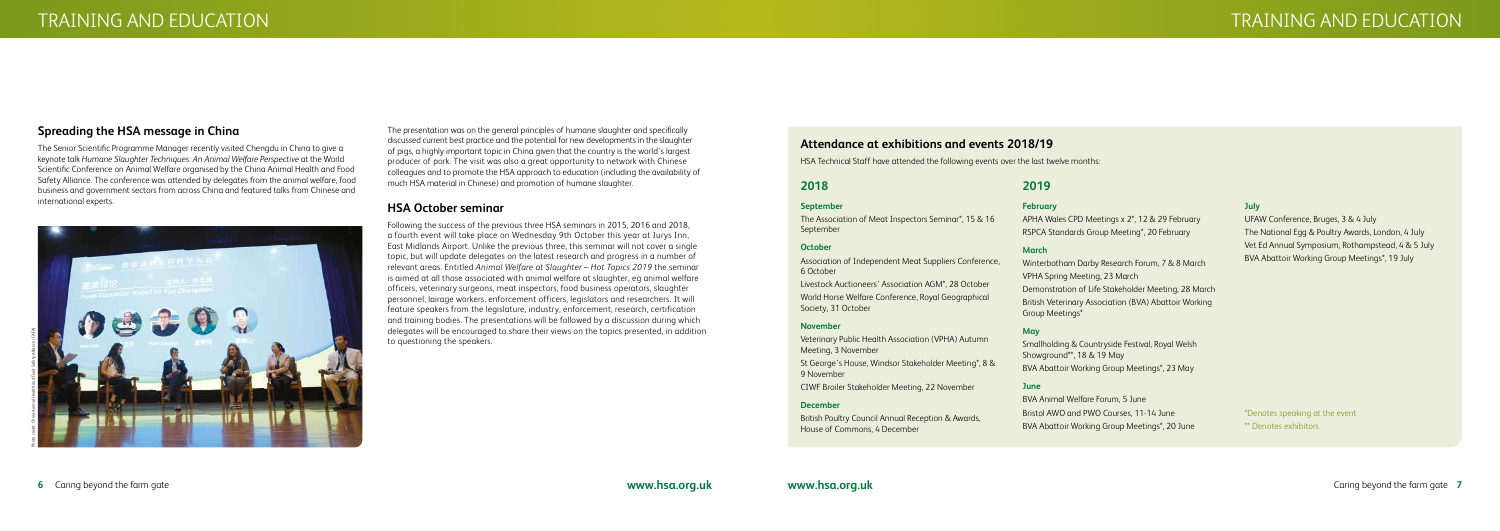# **Spreading the HSA message in China**

The Senior Scientific Programme Manager recently visited Chengdu in China to give a keynote talk *Humane Slaughter Techniques: An Animal Welfare Perspective* at the World Scientific Conference on Animal Welfare organised by the China Animal Health and Food Safety Alliance. The conference was attended by delegates from the animal welfare, food business and government sectors from across China and featured talks from Chinese and international experts.



## **2018**

#### **September**

The Association of Meat Inspectors Seminar\*, 15 & 16 September

### **October**

Association of Independent Meat Suppliers Conference, 6 October

Livestock Auctioneers' Association AGM\*, 28 October

World Horse Welfare Conference, Royal Geographical Society, 31 October

#### **November**

Veterinary Public Health Association (VPHA) Autumn Meeting, 3 November

St George's House, Windsor Stakeholder Meeting\*, 8 & 9 November

CIWF Broiler Stakeholder Meeting, 22 November

### **December**

British Poultry Council Annual Reception & Awards, House of Commons, 4 December

### **2019**

#### **February**

APHA Wales CPD Meetings x 2\*, 12 & 29 February RSPCA Standards Group Meeting\*, 20 February

#### **March**

Winterbotham Darby Research Forum, 7 & 8 March VPHA Spring Meeting, 23 March Demonstration of Life Stakeholder Meeting, 28 March British Veterinary Association (BVA) Abattoir Working Group Meetings\*

### **May**

Smallholding & Countryside Festival, Royal Welsh Showground\*\*, 18 & 19 May BVA Abattoir Working Group Meetings\*, 23 May

### **June**

BVA Animal Welfare Forum, 5 June Bristol AWO and PWO Courses, 11-14 June BVA Abattoir Working Group Meetings\*, 20 June

#### **July**

UFAW Conference, Bruges, 3 & 4 July The National Egg & Poultry Awards, London, 4 July Vet Ed Annual Symposium, Rothampstead, 4 & 5 July BVA Abattoir Working Group Meetings\*, 19 July

\*Denotes speaking at the event \*\* Denotes exhibitors

## **Attendance at exhibitions and events 2018/19**

HSA Technical Staff have attended the following events over the last twelve months:

The presentation was on the general principles of humane slaughter and specifically discussed current best practice and the potential for new developments in the slaughter of pigs, a highly important topic in China given that the country is the world's largest producer of pork. The visit was also a great opportunity to network with Chinese colleagues and to promote the HSA approach to education (including the availability of much HSA material in Chinese) and promotion of humane slaughter.

## **HSA October seminar**

Following the success of the previous three HSA seminars in 2015, 2016 and 2018, a fourth event will take place on Wednesday 9th October this year at Jurys Inn, East Midlands Airport. Unlike the previous three, this seminar will not cover a single topic, but will update delegates on the latest research and progress in a number of relevant areas. Entitled *Animal Welfare at Slaughter – Hot Topics 2019* the seminar is aimed at all those associated with animal welfare at slaughter, eg animal welfare officers, veterinary surgeons, meat inspectors, food business operators, slaughter personnel, lairage workers, enforcement officers, legislators and researchers. It will feature speakers from the legislature, industry, enforcement, research, certification and training bodies. The presentations will be followed by a discussion during which delegates will be encouraged to share their views on the topics presented, in addition to questioning the speakers.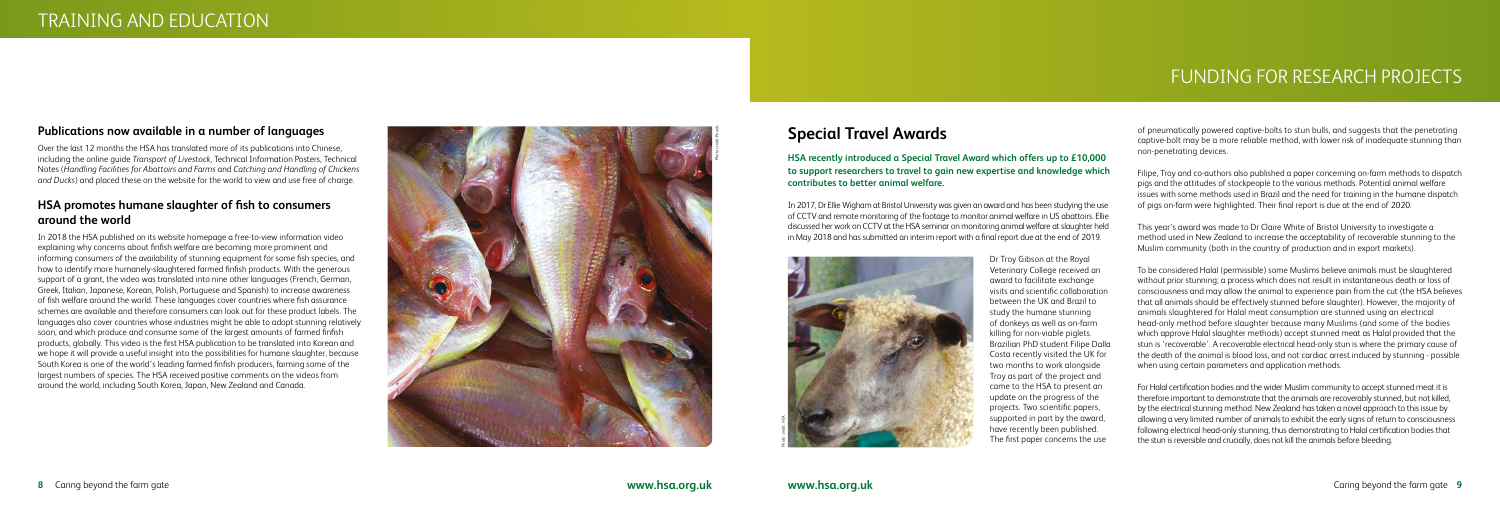## **Publications now available in a number of languages**

Over the last 12 months the HSA has translated more of its publications into Chinese, including the online guide *Transport of Livestock*, Technical Information Posters, Technical Notes (*Handling Facilities for Abattoirs and Farms* and *Catching and Handling of Chickens and Ducks*) and placed these on the website for the world to view and use free of charge.

## **HSA promotes humane slaughter of fish to consumers around the world**

In 2018 the HSA published on its website homepage a free-to-view information video explaining why concerns about finfish welfare are becoming more prominent and informing consumers of the availability of stunning equipment for some fish species, and how to identify more humanely-slaughtered farmed finfish products. With the generous support of a grant, the video was translated into nine other languages (French, German, Greek, Italian, Japanese, Korean, Polish, Portuguese and Spanish) to increase awareness of fish welfare around the world. These languages cover countries where fish assurance schemes are available and therefore consumers can look out for these product labels. The languages also cover countries whose industries might be able to adopt stunning relatively soon, and which produce and consume some of the largest amounts of farmed finfish products, globally. This video is the first HSA publication to be translated into Korean and we hope it will provide a useful insight into the possibilities for humane slaughter, because South Korea is one of the world's leading farmed finfish producers, farming some of the largest numbers of species. The HSA received positive comments on the videos from around the world, including South Korea, Japan, New Zealand and Canada.



# **Special Travel Awards**

**HSA recently introduced a Special Travel Award which offers up to £10,000 to support researchers to travel to gain new expertise and knowledge which contributes to better animal welfare.** 

In 2017, Dr Ellie Wigham at Bristol University was given an award and has been studying the use of CCTV and remote monitoring of the footage to monitor animal welfare in US abattoirs. Ellie discussed her work on CCTV at the HSA seminar on monitoring animal welfare at slaughter held in May 2018 and has submitted an interim report with a final report due at the end of 2019.

> Dr Troy Gibson at the Royal Veterinary College received an award to facilitate exchange visits and scientific collaboration between the UK and Brazil to study the humane stunning of donkeys as well as on-farm killing for non-viable piglets. Brazilian PhD student Filipe Dalla Costa recently visited the UK for two months to work alongside Troy as part of the project and came to the HSA to present an update on the progress of the projects. Two scientific papers, supported in part by the award, have recently been published. The first paper concerns the use

of pneumatically powered captive-bolts to stun bulls, and suggests that the penetrating captive-bolt may be a more reliable method, with lower risk of inadequate stunning than non-penetrating devices.

Filipe, Troy and co-authors also published a paper concerning on-farm methods to dispatch pigs and the attitudes of stockpeople to the various methods. Potential animal welfare issues with some methods used in Brazil and the need for training in the humane dispatch of pigs on-farm were highlighted. Their final report is due at the end of 2020.

This year's award was made to Dr Claire White of Bristol University to investigate a method used in New Zealand to increase the acceptability of recoverable stunning to the Muslim community (both in the country of production and in export markets).

To be considered Halal (permissible) some Muslims believe animals must be slaughtered without prior stunning; a process which does not result in instantaneous death or loss of consciousness and may allow the animal to experience pain from the cut (the HSA believes that all animals should be effectively stunned before slaughter). However, the majority of animals slaughtered for Halal meat consumption are stunned using an electrical head-only method before slaughter because many Muslims (and some of the bodies which approve Halal slaughter methods) accept stunned meat as Halal provided that the stun is 'recoverable'. A recoverable electrical head-only stun is where the primary cause of the death of the animal is blood loss, and not cardiac arrest induced by stunning - possible when using certain parameters and application methods.

For Halal certification bodies and the wider Muslim community to accept stunned meat it is therefore important to demonstrate that the animals are recoverably stunned, but not killed, by the electrical stunning method. New Zealand has taken a novel approach to this issue by allowing a very limited number of animals to exhibit the early signs of return to consciousness following electrical head-only stunning, thus demonstrating to Halal certification bodies that the stun is reversible and crucially, does not kill the animals before bleeding.

# FUNDING FOR RESEARCH PROJECTS

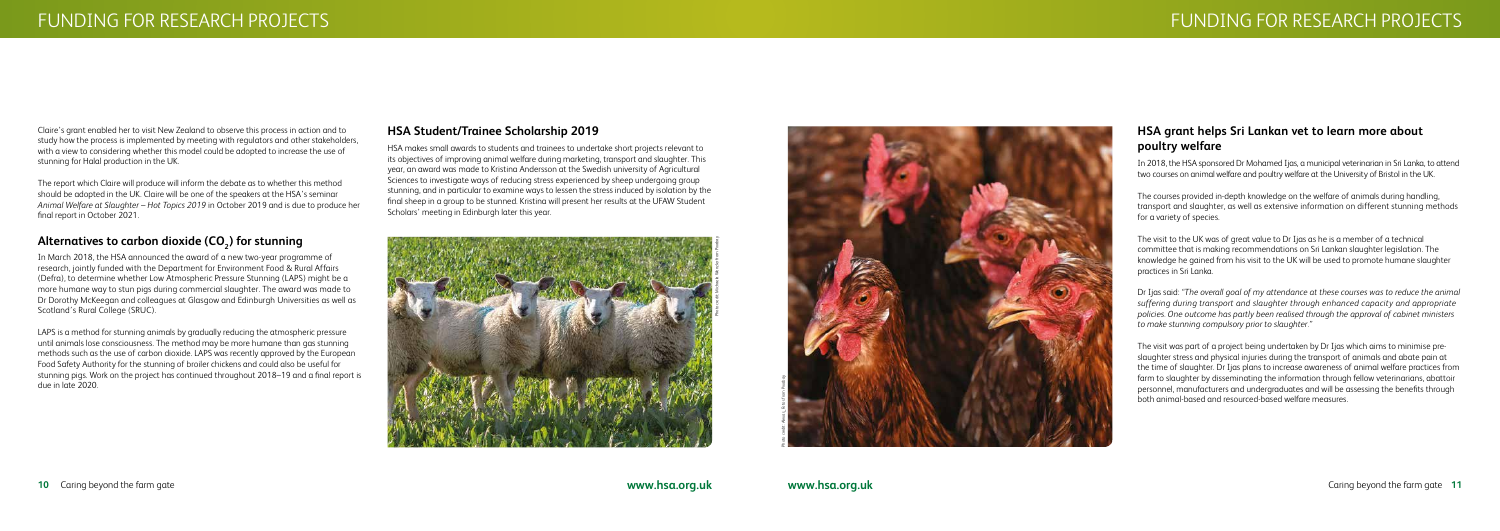## **HSA grant helps Sri Lankan vet to learn more about poultry welfare**

In 2018, the HSA sponsored Dr Mohamed Ijas, a municipal veterinarian in Sri Lanka, to attend two courses on animal welfare and poultry welfare at the University of Bristol in the UK.

The courses provided in-depth knowledge on the welfare of animals during handling, transport and slaughter, as well as extensive information on different stunning methods for a variety of species.

The visit to the UK was of great value to Dr Ijas as he is a member of a technical committee that is making recommendations on Sri Lankan slaughter legislation. The knowledge he gained from his visit to the UK will be used to promote humane slaughter practices in Sri Lanka.

Dr Ijas said: *"The overall goal of my attendance at these courses was to reduce the animal suffering during transport and slaughter through enhanced capacity and appropriate policies. One outcome has partly been realised through the approval of cabinet ministers to make stunning compulsory prior to slaughter."*

The visit was part of a project being undertaken by Dr Ijas which aims to minimise preslaughter stress and physical injuries during the transport of animals and abate pain at the time of slaughter. Dr Ijas plans to increase awareness of animal welfare practices from farm to slaughter by disseminating the information through fellow veterinarians, abattoir personnel, manufacturers and undergraduates and will be assessing the benefits through both animal-based and resourced-based welfare measures.



Claire's grant enabled her to visit New Zealand to observe this process in action and to study how the process is implemented by meeting with regulators and other stakeholders, with a view to considering whether this model could be adopted to increase the use of stunning for Halal production in the UK.

The report which Claire will produce will inform the debate as to whether this method should be adopted in the UK. Claire will be one of the speakers at the HSA's seminar *Animal Welfare at Slaughter – Hot Topics 2019* in October 2019 and is due to produce her final report in October 2021.

## Alternatives to carbon dioxide (CO<sub>2</sub>) for stunning

In March 2018, the HSA announced the award of a new two-year programme of research, jointly funded with the Department for Environment Food & Rural Affairs (Defra), to determine whether Low Atmospheric Pressure Stunning (LAPS) might be a more humane way to stun pigs during commercial slaughter. The award was made to Dr Dorothy McKeegan and colleagues at Glasgow and Edinburgh Universities as well as Scotland's Rural College (SRUC).

LAPS is a method for stunning animals by gradually reducing the atmospheric pressure until animals lose consciousness. The method may be more humane than gas stunning methods such as the use of carbon dioxide. LAPS was recently approved by the European Food Safety Authority for the stunning of broiler chickens and could also be useful for stunning pigs. Work on the project has continued throughout 2018–19 and a final report is due in late 2020.

### **HSA Student/Trainee Scholarship 2019**

HSA makes small awards to students and trainees to undertake short projects relevant to its objectives of improving animal welfare during marketing, transport and slaughter. This year, an award was made to Kristina Andersson at the Swedish university of Agricultural Sciences to investigate ways of reducing stress experienced by sheep undergoing group stunning, and in particular to examine ways to lessen the stress induced by isolation by the final sheep in a group to be stunned. Kristina will present her results at the UFAW Student Scholars' meeting in Edinburgh later this year.

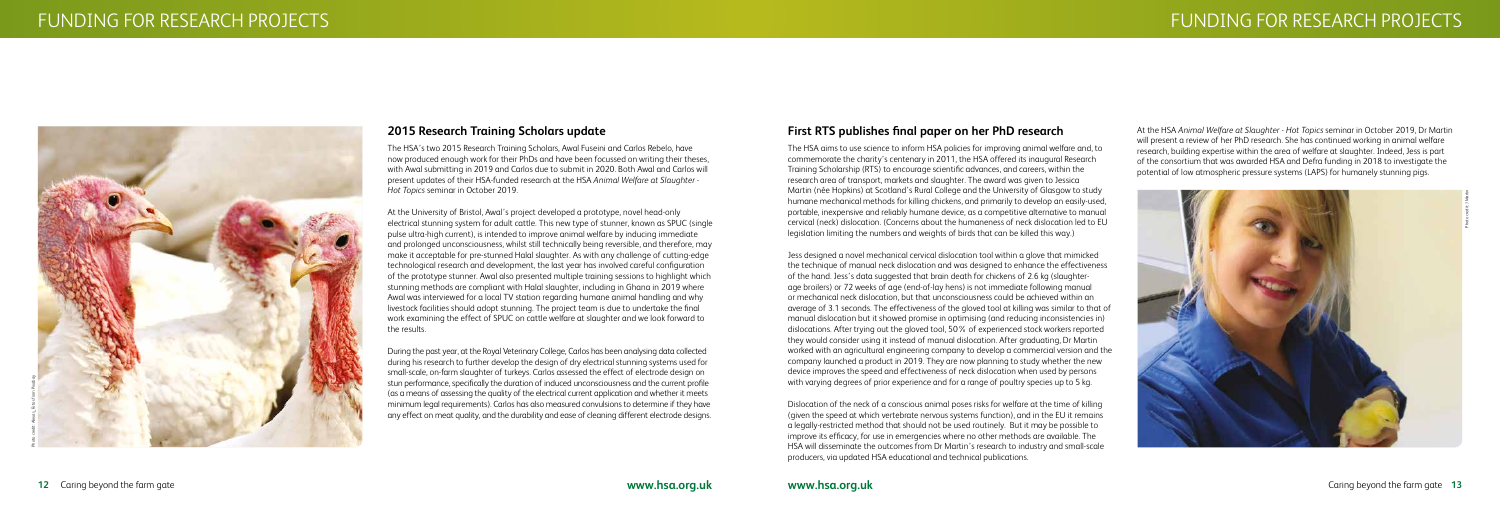# **First RTS publishes final paper on her PhD research**

The HSA aims to use science to inform HSA policies for improving animal welfare and, to commemorate the charity's centenary in 2011, the HSA offered its inaugural Research Training Scholarship (RTS) to encourage scientific advances, and careers, within the research area of transport, markets and slaughter. The award was given to Jessica Martin (née Hopkins) at Scotland's Rural College and the University of Glasgow to study humane mechanical methods for killing chickens, and primarily to develop an easily-used, portable, inexpensive and reliably humane device, as a competitive alternative to manual cervical (neck) dislocation. (Concerns about the humaneness of neck dislocation led to EU legislation limiting the numbers and weights of birds that can be killed this way.)

Jess designed a novel mechanical cervical dislocation tool within a glove that mimicked the technique of manual neck dislocation and was designed to enhance the effectiveness of the hand. Jess's data suggested that brain death for chickens of 2.6 kg (slaughterage broilers) or 72 weeks of age (end-of-lay hens) is not immediate following manual or mechanical neck dislocation, but that unconsciousness could be achieved within an average of 3.1 seconds. The effectiveness of the gloved tool at killing was similar to that of manual dislocation but it showed promise in optimising (and reducing inconsistencies in) dislocations. After trying out the gloved tool, 50% of experienced stock workers reported they would consider using it instead of manual dislocation. After graduating, Dr Martin worked with an agricultural engineering company to develop a commercial version and the company launched a product in 2019. They are now planning to study whether the new device improves the speed and effectiveness of neck dislocation when used by persons with varying degrees of prior experience and for a range of poultry species up to 5 kg.

Dislocation of the neck of a conscious animal poses risks for welfare at the time of killing (given the speed at which vertebrate nervous systems function), and in the EU it remains a legally-restricted method that should not be used routinely. But it may be possible to improve its efficacy, for use in emergencies where no other methods are available. The HSA will disseminate the outcomes from Dr Martin's research to industry and small-scale producers, via updated HSA educational and technical publications.

### **2015 Research Training Scholars update**

The HSA's two 2015 Research Training Scholars, Awal Fuseini and Carlos Rebelo, have now produced enough work for their PhDs and have been focussed on writing their theses, with Awal submitting in 2019 and Carlos due to submit in 2020. Both Awal and Carlos will present updates of their HSA-funded research at the HSA *Animal Welfare at Slaughter - Hot Topics* seminar in October 2019.

At the University of Bristol, Awal's project developed a prototype, novel head-only electrical stunning system for adult cattle. This new type of stunner, known as SPUC (single pulse ultra-high current), is intended to improve animal welfare by inducing immediate and prolonged unconsciousness, whilst still technically being reversible, and therefore, may make it acceptable for pre-stunned Halal slaughter. As with any challenge of cutting-edge technological research and development, the last year has involved careful configuration of the prototype stunner. Awal also presented multiple training sessions to highlight which stunning methods are compliant with Halal slaughter, including in Ghana in 2019 where Awal was interviewed for a local TV station regarding humane animal handling and why livestock facilities should adopt stunning. The project team is due to undertake the final work examining the effect of SPUC on cattle welfare at slaughter and we look forward to the results.

During the past year, at the Royal Veterinary College, Carlos has been analysing data collected during his research to further develop the design of dry electrical stunning systems used for small-scale, on-farm slaughter of turkeys. Carlos assessed the effect of electrode design on stun performance, specifically the duration of induced unconsciousness and the current profile (as a means of assessing the quality of the electrical current application and whether it meets minimum legal requirements). Carlos has also measured convulsions to determine if they have any effect on meat quality, and the durability and ease of cleaning different electrode designs.



At the HSA *Animal Welfare at Slaughter - Hot Topics* seminar in October 2019, Dr Martin will present a review of her PhD research. She has continued working in animal welfare research, building expertise within the area of welfare at slaughter. Indeed, Jess is part of the consortium that was awarded HSA and Defra funding in 2018 to investigate the potential of low atmospheric pressure systems (LAPS) for humanely stunning pigs.

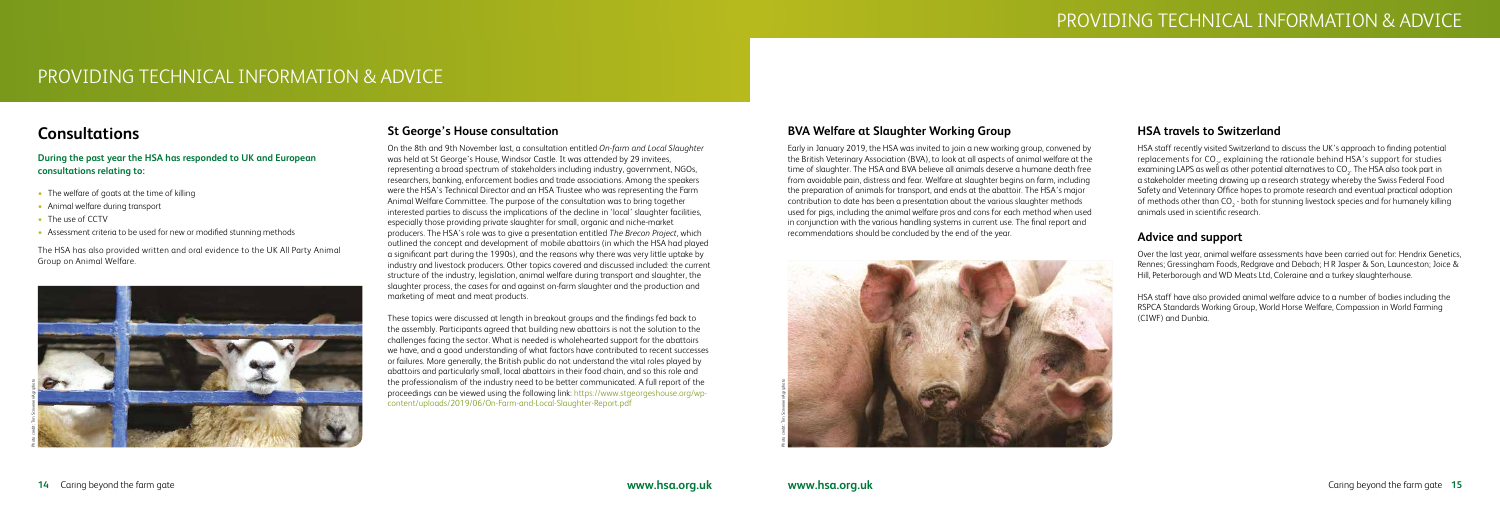# **BVA Welfare at Slaughter Working Group**

Early in January 2019, the HSA was invited to join a new working group, convened by the British Veterinary Association (BVA), to look at all aspects of animal welfare at the time of slaughter. The HSA and BVA believe all animals deserve a humane death free from avoidable pain, distress and fear. Welfare at slaughter begins on farm, including the preparation of animals for transport, and ends at the abattoir. The HSA's major contribution to date has been a presentation about the various slaughter methods used for pigs, including the animal welfare pros and cons for each method when used in conjunction with the various handling systems in current use. The final report and recommendations should be concluded by the end of the year.



## **HSA travels to Switzerland**

- The welfare of goats at the time of killing
- Animal welfare during transport
- The use of CCTV
- Assessment criteria to be used for new or modified stunning methods

HSA staff recently visited Switzerland to discuss the UK's approach to finding potential replacements for CO<sub>2</sub>, explaining the rationale behind HSA's support for studies examining LAPS as well as other potential alternatives to CO $_{\textrm{\tiny{2}}}$ . The HSA also took part in a stakeholder meeting drawing up a research strategy whereby the Swiss Federal Food Safety and Veterinary Office hopes to promote research and eventual practical adoption of methods other than CO<sub>2</sub> - both for stunning livestock species and for humanely killing animals used in scientific research.

## **Advice and support**

Over the last year, animal welfare assessments have been carried out for: Hendrix Genetics, Rennes; Gressingham Foods, Redgrave and Debach; H R Jasper & Son, Launceston; Joice & Hill, Peterborough and WD Meats Ltd, Coleraine and a turkey slaughterhouse.

HSA staff have also provided animal welfare advice to a number of bodies including the RSPCA Standards Working Group, World Horse Welfare, Compassion in World Farming (CIWF) and Dunbia.

# PROVIDING TECHNICAL INFORMATION & ADVICE

# **Consultations**

**During the past year the HSA has responded to UK and European consultations relating to:**

The HSA has also provided written and oral evidence to the UK All Party Animal Group on Animal Welfare.

# **St George's House consultation**

On the 8th and 9th November last, a consultation entitled *On-farm and Local Slaughter*  was held at St George's House, Windsor Castle. It was attended by 29 invitees, representing a broad spectrum of stakeholders including industry, government, NGOs, researchers, banking, enforcement bodies and trade associations. Among the speakers were the HSA's Technical Director and an HSA Trustee who was representing the Farm Animal Welfare Committee. The purpose of the consultation was to bring together interested parties to discuss the implications of the decline in 'local' slaughter facilities, especially those providing private slaughter for small, organic and niche-market producers. The HSA's role was to give a presentation entitled *The Brecon Project*, which outlined the concept and development of mobile abattoirs (in which the HSA had played a significant part during the 1990s), and the reasons why there was very little uptake by industry and livestock producers. Other topics covered and discussed included: the current structure of the industry, legislation, animal welfare during transport and slaughter, the slaughter process, the cases for and against on-farm slaughter and the production and marketing of meat and meat products.

These topics were discussed at length in breakout groups and the findings fed back to the assembly. Participants agreed that building new abattoirs is not the solution to the challenges facing the sector. What is needed is wholehearted support for the abattoirs we have, and a good understanding of what factors have contributed to recent successes or failures. More generally, the British public do not understand the vital roles played by abattoirs and particularly small, local abattoirs in their food chain, and so this role and the professionalism of the industry need to be better communicated. A full report of the proceedings can be viewed using the following link: https://www.stgeorgeshouse.org/wpcontent/uploads/2019/06/On-Farm-and-Local-Slaughter-Report.pdf

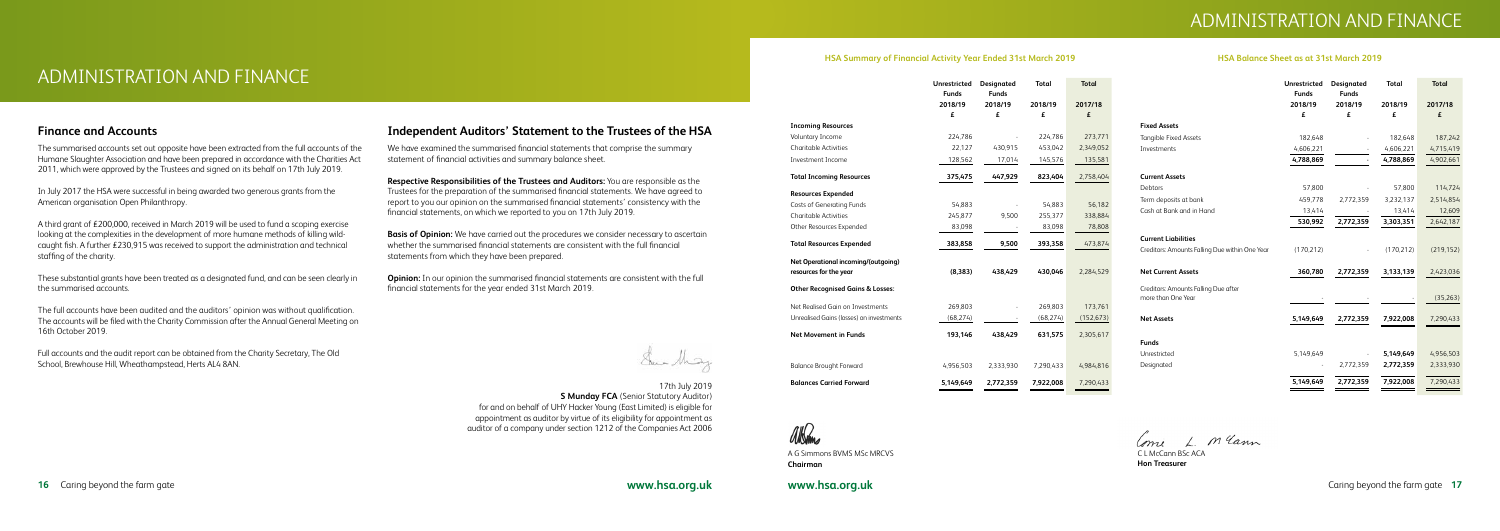

# ADMINISTRATION AND FINANCE

### **HSA Summary of Financial Activity Year Ended 31st March 2019**

| <b>HSA Balance Sheet as at 31st March 2019</b> |  |  |  |  |
|------------------------------------------------|--|--|--|--|
|------------------------------------------------|--|--|--|--|

## **Finance and Accounts**

The summarised accounts set out opposite have been extracted from the full accounts of the Humane Slaughter Association and have been prepared in accordance with the Charities Act 2011, which were approved by the Trustees and signed on its behalf on 17th July 2019.

In July 2017 the HSA were successful in being awarded two generous grants from the American organisation Open Philanthropy.

A third grant of £200,000, received in March 2019 will be used to fund a scoping exercise looking at the complexities in the development of more humane methods of killing wildcaught fish. A further £230,915 was received to support the administration and technical staffing of the charity.

These substantial grants have been treated as a designated fund, and can be seen clearly in the summarised accounts.

The full accounts have been audited and the auditors' opinion was without qualification. The accounts will be filed with the Charity Commission after the Annual General Meeting on 16th October 2019.

Full accounts and the audit report can be obtained from the Charity Secretary, The Old School, Brewhouse Hill, Wheathampstead, Herts AL4 8AN.

## **Independent Auditors' Statement to the Trustees of the HSA**

We have examined the summarised financial statements that comprise the summary statement of financial activities and summary balance sheet.

**Respective Responsibilities of the Trustees and Auditors:** You are responsible as the Trustees for the preparation of the summarised financial statements. We have agreed to report to you our opinion on the summarised financial statements' consistency with the financial statements, on which we reported to you on 17th July 2019.

**Basis of Opinion:** We have carried out the procedures we consider necessary to ascertain whether the summarised financial statements are consistent with the full financial statements from which they have been prepared.

**Opinion:** In our opinion the summarised financial statements are consistent with the full financial statements for the year ended 31st March 2019.

Sur May

17th July 2019 **S Munday FCA** (Senior Statutory Auditor) for and on behalf of UHY Hacker Young (East Limited) is eligible for appointment as auditor by virtue of its eligibility for appointment as auditor of a company under section 1212 of the Companies Act 2006



|                                             | <b>Unrestricted</b> | <b>Designated</b> | <b>Total</b> | <b>Total</b> |
|---------------------------------------------|---------------------|-------------------|--------------|--------------|
|                                             | <b>Funds</b>        | <b>Funds</b>      |              |              |
|                                             | 2018/19             | 2018/19           | 2018/19      | 2017/18      |
|                                             | £                   | £                 | £            | £            |
| <b>Incoming Resources</b>                   |                     |                   |              |              |
| Voluntary Income                            | 224,786             |                   | 224,786      | 273,771      |
| <b>Charitable Activities</b>                | 22,127              | 430,915           | 453,042      | 2,349,052    |
| Investment Income                           | 128,562             | 17,014            | 145,576      | 135,581      |
| <b>Total Incoming Resources</b>             | 375,475             | 447,929           | 823,404      | 2,758,404    |
| <b>Resources Expended</b>                   |                     |                   |              |              |
| <b>Costs of Generating Funds</b>            | 54,883              |                   | 54,883       | 56,182       |
| <b>Charitable Activities</b>                | 245,877             | 9,500             | 255,377      | 338,884      |
| Other Resources Expended                    | 83,098              |                   | 83,098       | 78,808       |
| <b>Total Resources Expended</b>             | 383,858             | 9,500             | 393,358      | 473,874      |
| Net Operational incoming/(outgoing)         |                     |                   |              |              |
| resources for the year                      | (8, 383)            | 438,429           | 430,046      | 2,284,529    |
| <b>Other Recognised Gains &amp; Losses:</b> |                     |                   |              |              |
| Net Realised Gain on Investments            | 269,803             |                   | 269,803      | 173,761      |
| Unrealised Gains (losses) on investments    | (68, 274)           |                   | (68, 274)    | (152, 673)   |
| <b>Net Movement in Funds</b>                | 193,146             | 438,429           | 631,575      | 2,305,617    |
| <b>Balance Brought Forward</b>              | 4,956,503           | 2,333,930         | 7,290,433    | 4,984,816    |
| <b>Balances Carried Forward</b>             | 5,149,649           | 2,772,359         | 7,922,008    | 7,290,433    |

|                                                | Unrestricted | Designated   | <b>Total</b> | <b>Total</b> |
|------------------------------------------------|--------------|--------------|--------------|--------------|
|                                                | <b>Funds</b> | <b>Funds</b> |              |              |
|                                                | 2018/19      | 2018/19      | 2018/19      | 2017/18      |
|                                                | £            | £            | £            | £            |
| <b>Fixed Assets</b>                            |              |              |              |              |
| <b>Tangible Fixed Assets</b>                   | 182,648      |              | 182,648      | 187,242      |
| Investments                                    | 4,606,221    |              | 4,606,221    | 4,715,419    |
|                                                | 4,788,869    |              | 4,788,869    | 4,902,661    |
| <b>Current Assets</b>                          |              |              |              |              |
| Debtors                                        | 57,800       |              | 57,800       | 114,724      |
| Term deposits at bank                          | 459,778      | 2,772,359    | 3,232,137    | 2,514,854    |
| Cash at Bank and in Hand                       | 13,414       |              | 13,414       | 12,609       |
|                                                | 530,992      | 2,772,359    | 3,303,351    | 2,642,187    |
| <b>Current Liabilities</b>                     |              |              |              |              |
| Creditors: Amounts Falling Due within One Year | (170, 212)   |              | (170, 212)   | (219, 152)   |
| <b>Net Current Assets</b>                      | 360,780      | 2,772,359    | 3,133,139    | 2,423,036    |
| Creditors: Amounts Falling Due after           |              |              |              |              |
| more than One Year                             |              |              |              | (35,263)     |
| <b>Net Assets</b>                              | 5,149,649    | 2,772,359    | 7,922,008    | 7,290,433    |
| <b>Funds</b>                                   |              |              |              |              |
| Unrestricted                                   | 5,149,649    |              | 5,149,649    | 4,956,503    |
| Designated                                     |              | 2,772,359    | 2,772,359    | 2,333,930    |
|                                                | 5,149,649    | 2,772,359    | 7,922,008    | 7,290,433    |
|                                                |              |              |              |              |

albams

A G Simmons BVMS MSc MRCVS **Chairman**

1 m Yann Comi

C L McCann BSc ACA **Hon Treasurer**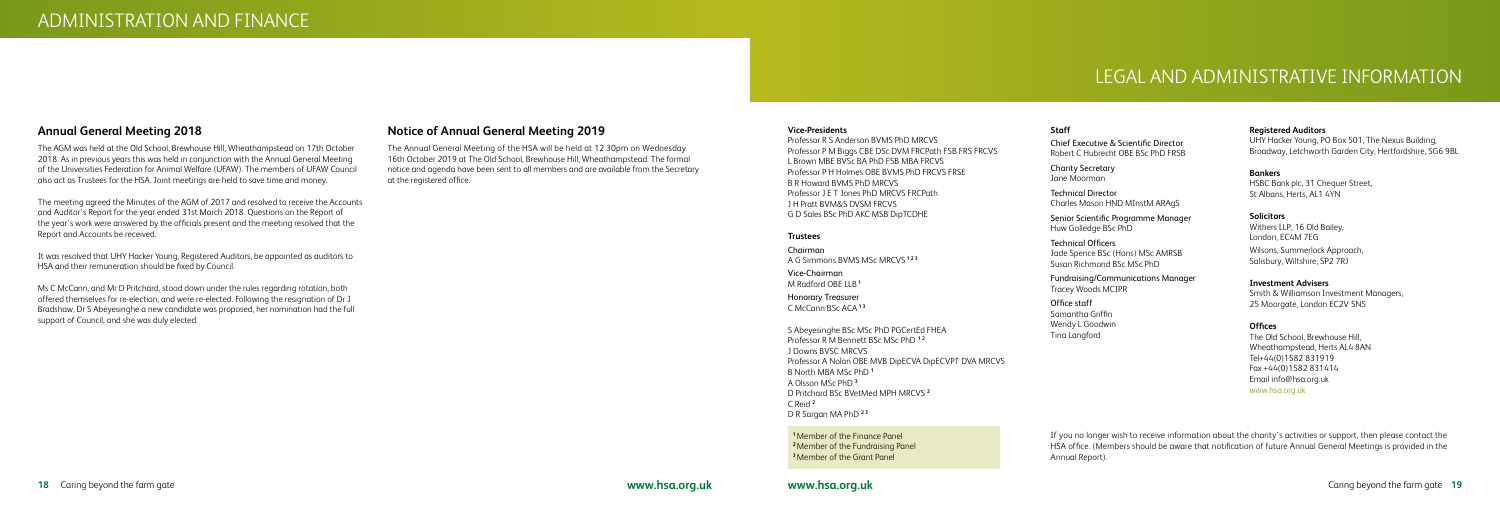#### **Vice-Presidents**

Professor R S Anderson BVMS PhD MRCVS Professor P M Biggs CBE DSc DVM FRCPath FSB FRS FRCVS L Brown MBE BVSc BA PhD FSB MBA FRCVS Professor P H Holmes OBE BVMS PhD FRCVS FRSE B R Howard BVMS PhD MRCVS Professor J E T Jones PhD MRCVS FRCPath J H Pratt BVM&S DVSM FRCVS G D Sales BSc PhD AKC MSB DipTCDHE

#### **Trustees**

Chairman A G Simmons BVMS MSc MRCVS **1 2 3** 

Vice-Chairman M Radford OBE LLB **<sup>1</sup>**

Honorary Treasurer C McCann BSc ACA**1 3**

S Abeyesinghe BSc MSc PhD PGCertEd FHEA Professor R M Bennett BSc MSc PhD **1 2** J Downs BVSC MRCVS Professor A Nolan OBE MVB DipECVA DipECVPT DVA MRCVS B North MBA MSc PhD **<sup>1</sup>** A Olsson MSc PhD **<sup>3</sup>** D Pritchard BSc BVetMed MPH MRCVS **<sup>2</sup>** C Reid **<sup>2</sup>** D R Sargan MA PhD **2 3**

## **Annual General Meeting 2018**

The AGM was held at the Old School, Brewhouse Hill, Wheathampstead on 17th October 2018. As in previous years this was held in conjunction with the Annual General Meeting of the Universities Federation for Animal Welfare (UFAW). The members of UFAW Council also act as Trustees for the HSA. Joint meetings are held to save time and money.

The meeting agreed the Minutes of the AGM of 2017 and resolved to receive the Accounts and Auditor's Report for the year ended 31st March 2018. Questions on the Report of the year's work were answered by the officials present and the meeting resolved that the Report and Accounts be received.

It was resolved that UHY Hacker Young, Registered Auditors, be appointed as auditors to HSA and their remuneration should be fixed by Council.

Ms C McCann, and Mr D Pritchard, stood down under the rules regarding rotation, both offered themselves for re-election, and were re-elected. Following the resignation of Dr J Bradshaw, Dr S Abeyesinghe a new candidate was proposed, her nomination had the full support of Council, and she was duly elected.

### **Notice of Annual General Meeting 2019**

The Annual General Meeting of the HSA will be held at 12.30pm on Wednesday 16th October 2019 at The Old School, Brewhouse Hill, Wheathampstead. The formal notice and agenda have been sent to all members and are available from the Secretary at the registered office.

# LEGAL AND ADMINISTRATIVE INFORMATION

#### **Staff**

Chief Executive & Scientific Director Robert C Hubrecht OBE BSc PhD FRSB

Charity Secretary Jane Moorman

Technical Director Charles Mason HND MInstM ARAgS

Senior Scientific Programme Manager Huw Golledge BSc PhD

Technical Officers Jade Spence BSc (Hons) MSc AMRSB Susan Richmond BSc MSc PhD

Fundraising/Communications Manager Tracey Woods MCIPR

Office staff Samantha Griffin Wendy L Goodwin Tina Langford

#### **Registered Auditors**

UHY Hacker Young, PO Box 501, The Nexus Building, Broadway, Letchworth Garden City, Hertfordshire, SG6 9BL

**Bankers** HSBC Bank plc, 31 Chequer Street, St Albans, Herts, AL1 4YN

#### **Solicitors**

Withers LLP, 16 Old Bailey, London, EC4M 7EG Wilsons, Summerlock Approach, Salisbury, Wiltshire, SP2 7RJ

**Investment Advisers**

Smith & Williamson Investment Managers, 25 Moorgate, London EC2V 5NS

#### **Offices**

The Old School, Brewhouse Hill, Wheathampstead, Herts AL4 8AN Tel+44(0)1582 831919 Fax +44(0)1582 831414 Email info@hsa.org.uk www.hsa.org.uk

**<sup>1</sup>**Member of the Finance Panel **<sup>2</sup>**Member of the Fundraising Panel **<sup>3</sup>**Member of the Grant Panel

If you no longer wish to receive information about the charity's activities or support, then please contact the HSA office. (Members should be aware that notification of future Annual General Meetings is provided in the Annual Report).